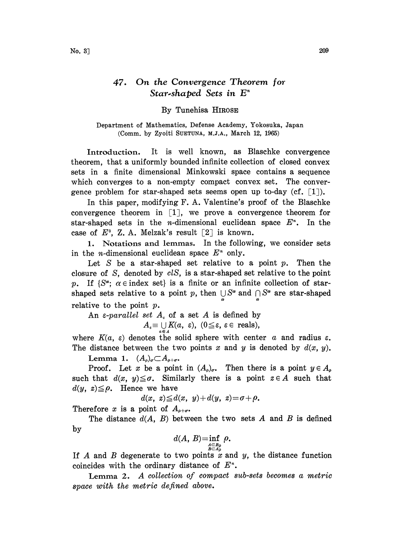## 47. On the Convergence Theorem for Star-shaped Sets in  $E<sup>n</sup>$

## By Tunehisa HIROSE

Department of Mathematics, Defense Academy, Yokosuka, Japan (Comm. by Zyoiti SUETUNA, M.J.A., March  $12$ ,  $1965$ )

Introduction. It is well known, as Blaschke convergence theorem, that a uniformly bounded infinite collection of closed convex sets in a finite dimensional Minkowski space contains a sequence which converges to a non-empty compact convex set. The convergence problem for star-shaped sets seems open up to-day (cf.  $[1]$ ).

In this paper, modifying F. A. Valentine's proof of the Blaschke convergence theorem in  $[1]$ , we prove a convergence theorem for star-shaped sets in the *n*-dimensional euclidean space  $E<sup>n</sup>$ . In the case of  $E^3$ , Z. A. Melzak's result [2] is known.

1. Notations and lemmas. In the following, we consider sets in the *n*-dimensional euclidean space  $E^*$  only.

Let S be a star-shaped set relative to a point  $p$ . Then the closure of S, denoted by clS, is a star-shaped set relative to the point p. If  $\{S^{\alpha}$ ;  $\alpha \in \text{index set}\}\$ is a finite or an infinite collection of starshaped sets relative to a point p, then  $\bigcup S^{\alpha}$  and  $\bigcap S^{\alpha}$  are star-shaped relative to the point  $p$ .

An  $\varepsilon$ -parallel set  $A_{\varepsilon}$  of a set A is defined by

 $A_{\varepsilon} \equiv \bigcup_{a \in A} K(a, \varepsilon), \ (0 \leq \varepsilon, \ \varepsilon \in \text{ reals}),$ 

where  $K(a, \varepsilon)$  denotes the solid sphere with center a and radius  $\varepsilon$ . The distance between the two points x and y is denoted by  $d(x, y)$ .

Lemma 1.  $(A_{\rho})_{\sigma} \subset A_{\rho+\sigma}$ .

Proof. Let x be a point in  $(A_{\rho})_{\sigma}$ . Then there is a point  $y \in A_{\rho}$ such that  $d(x, y) \leq \sigma$ . Similarly there is a point  $z \in A$  such that  $d(y, z) \leq \rho$ . Hence we have

$$
d(x, z) {\leq} d(x, y) + d(y, z) {=}\mathbf{\sigma} {+}\mathbf{\rho}.
$$

Therefore x is a point of  $A_{\rho+\sigma}$ .

The distance  $d(A, B)$  between the two sets A and B is defined by

$$
d(A, B)=\inf_{A\subset B_0\atop B\subset A_0}\rho.
$$

If A and B degenerate to two points x and y, the distance function coincides with the ordinary distance of  $E<sup>n</sup>$ .

Lemma 2. A collection of compact sub-sets becomes a metric space with the metric defined above.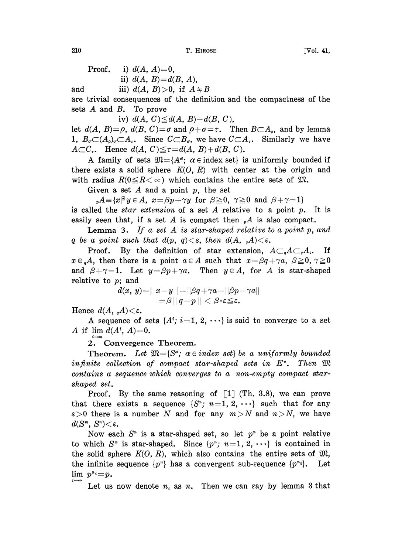210 **T. HIROSE** [Vol. 41,

Proof. i)  $d(A, A)=0$ , ii)  $d(A, B) = d(B, A),$ 

and iii)  $d(A, B) > 0$ , if  $A \neq B$ 

are trivial consequences of the definition and the compactness of the sets  $A$  and  $B$ . To prove

iv)  $d(A, C) \leq d(A, B) + d(B, C)$ ,

let  $d(A, B) = \rho$ ,  $d(B, C) = \sigma$  and  $\rho + \sigma = \tau$ . Then  $B \subset A_{\rho}$ , and by lemma 1,  $B_{\sigma}\subset (A_{\rho})_{\sigma}\subset A_{\tau}$ . Since  $C\subset B_{\sigma}$ , we have  $C\subset A_{\tau}$ . Similarly we have  $A \subset C_{\tau}$ . Hence  $d(A, C) \leq \tau = d(A, B) + d(B, C)$ .

A family of sets  $\mathfrak{M} = \{A^{\alpha}; \alpha \in \text{index set}\}\$ is uniformly bounded if there exists a solid sphere  $K(0, R)$  with center at the origin and with radius  $R(0 \leq R \lt \infty)$  which contains the entire sets of  $\mathfrak{M}$ .

Given a set A and a point  $p$ , the set

 $_{p}A = \{x | \exists y \in A, x = \beta p + \gamma y \text{ for } \beta \geq 0, \gamma \geq 0 \text{ and } \beta + \gamma = 1\}$ is called the *star extension* of a set  $A$  relative to a point  $p$ . It is easily seen that, if a set A is compact then  $_A$ A is also compact.

**Lemma 3.** If a set A is star-shaped relative to a point  $p$ , and q be a point such that  $d(p, q) < \varepsilon$ , then  $d(A, qA) < \varepsilon$ .

Proof. By the definition of star extension,  $A\subset_{a}A\subset_{a}A_{s}$ . If  $x \in {}_{a}A$ , then there is a point  $a \in A$  such that  $x = \beta q + \gamma a$ ,  $\beta \geq 0$ ,  $\gamma \geq 0$ and  $\beta+\gamma=1$ . Let  $y=\beta p+\gamma a$ . Then  $y \in A$ , for A is star-shaped relative to  $p$ ; and

$$
d(x, y)=||x-y||=||\beta q+\gamma a-||\beta p-\gamma a||
$$
  
= $\beta$ || $q-p$ || $\langle \beta \cdot \varepsilon \leq \varepsilon$ .

Hence  $d(A, A) < \varepsilon$ .

A sequence of sets  $\{A^i; i=1, 2, \cdots\}$  is said to converge to a set A if  $\lim d(A^i, A)=0$ .

2. Convergence Theorem.

**Theorem.** Let  $\mathfrak{M} = \{S^{\alpha} : \alpha \in index \text{ set}\}$  be a uniformly bounded infinite collection of compact star-shaped sets in  $E<sup>n</sup>$ . Then  $\mathfrak{M}$ contains a sequence which converges to a non-empty compact starshaped set.

Proof. By the same reasoning of  $\lceil 1 \rceil$  (Th. 3.8), we can prove that there exists a sequence  $\{S^*, n=1, 2, \cdots\}$  such that for any  $\varepsilon > 0$  there is a number N and for any  $m > N$  and  $n > N$ , we have  $d(S^m, S^n) < \varepsilon$ .

Now each  $S<sup>n</sup>$  is a star-shaped set, so let  $p<sup>n</sup>$  be a point relative to which  $S^*$  is star-shaped. Since  $\{p^*, n=1, 2, \cdots\}$  is contained in the solid sphere  $K(O, R)$ , which also contains the entire sets of  $\mathfrak{M}$ , the infinite sequence  $\{p^n\}$  has a convergent sub-sequence  $\{p^{n_i}\}\$ . Let  $\lim p^{n_i}=p$ .

Let us now denote  $n_i$  as n. Then we can say by lemma 3 that